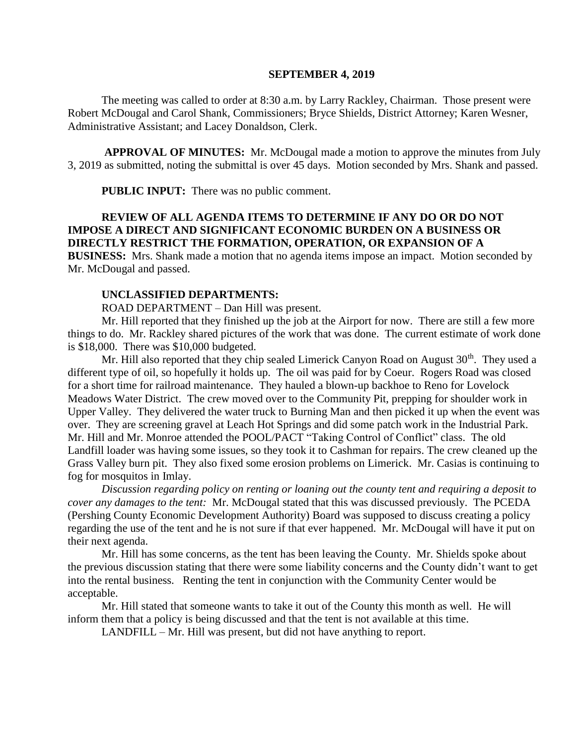#### **SEPTEMBER 4, 2019**

The meeting was called to order at 8:30 a.m. by Larry Rackley, Chairman. Those present were Robert McDougal and Carol Shank, Commissioners; Bryce Shields, District Attorney; Karen Wesner, Administrative Assistant; and Lacey Donaldson, Clerk.

**APPROVAL OF MINUTES:** Mr. McDougal made a motion to approve the minutes from July 3, 2019 as submitted, noting the submittal is over 45 days. Motion seconded by Mrs. Shank and passed.

 **PUBLIC INPUT:** There was no public comment.

# **REVIEW OF ALL AGENDA ITEMS TO DETERMINE IF ANY DO OR DO NOT IMPOSE A DIRECT AND SIGNIFICANT ECONOMIC BURDEN ON A BUSINESS OR DIRECTLY RESTRICT THE FORMATION, OPERATION, OR EXPANSION OF A**

**BUSINESS:** Mrs. Shank made a motion that no agenda items impose an impact. Motion seconded by Mr. McDougal and passed.

#### **UNCLASSIFIED DEPARTMENTS:**

ROAD DEPARTMENT – Dan Hill was present.

Mr. Hill reported that they finished up the job at the Airport for now. There are still a few more things to do. Mr. Rackley shared pictures of the work that was done. The current estimate of work done is \$18,000. There was \$10,000 budgeted.

Mr. Hill also reported that they chip sealed Limerick Canyon Road on August  $30<sup>th</sup>$ . They used a different type of oil, so hopefully it holds up. The oil was paid for by Coeur. Rogers Road was closed for a short time for railroad maintenance. They hauled a blown-up backhoe to Reno for Lovelock Meadows Water District. The crew moved over to the Community Pit, prepping for shoulder work in Upper Valley. They delivered the water truck to Burning Man and then picked it up when the event was over. They are screening gravel at Leach Hot Springs and did some patch work in the Industrial Park. Mr. Hill and Mr. Monroe attended the POOL/PACT "Taking Control of Conflict" class. The old Landfill loader was having some issues, so they took it to Cashman for repairs. The crew cleaned up the Grass Valley burn pit. They also fixed some erosion problems on Limerick. Mr. Casias is continuing to fog for mosquitos in Imlay.

*Discussion regarding policy on renting or loaning out the county tent and requiring a deposit to cover any damages to the tent:* Mr. McDougal stated that this was discussed previously. The PCEDA (Pershing County Economic Development Authority) Board was supposed to discuss creating a policy regarding the use of the tent and he is not sure if that ever happened. Mr. McDougal will have it put on their next agenda.

Mr. Hill has some concerns, as the tent has been leaving the County. Mr. Shields spoke about the previous discussion stating that there were some liability concerns and the County didn't want to get into the rental business. Renting the tent in conjunction with the Community Center would be acceptable.

Mr. Hill stated that someone wants to take it out of the County this month as well. He will inform them that a policy is being discussed and that the tent is not available at this time.

LANDFILL – Mr. Hill was present, but did not have anything to report.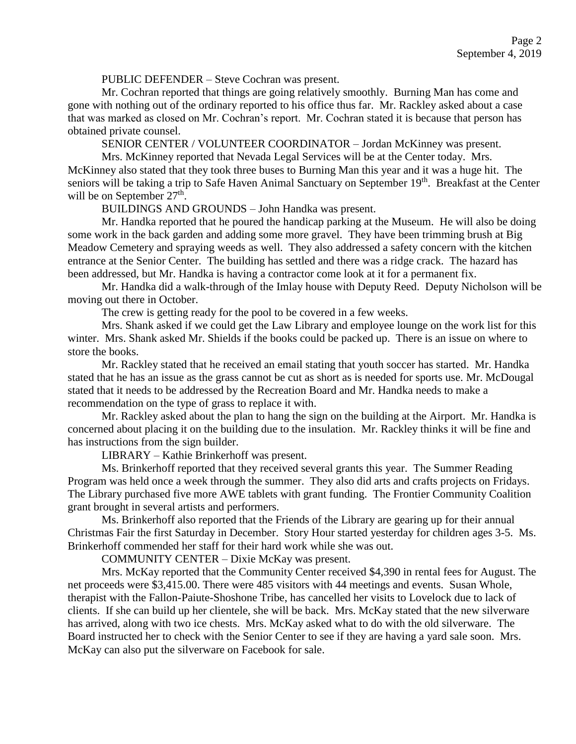PUBLIC DEFENDER – Steve Cochran was present.

Mr. Cochran reported that things are going relatively smoothly. Burning Man has come and gone with nothing out of the ordinary reported to his office thus far. Mr. Rackley asked about a case that was marked as closed on Mr. Cochran's report. Mr. Cochran stated it is because that person has obtained private counsel.

SENIOR CENTER / VOLUNTEER COORDINATOR – Jordan McKinney was present.

Mrs. McKinney reported that Nevada Legal Services will be at the Center today. Mrs. McKinney also stated that they took three buses to Burning Man this year and it was a huge hit. The seniors will be taking a trip to Safe Haven Animal Sanctuary on September 19<sup>th</sup>. Breakfast at the Center will be on September 27<sup>th</sup>.

BUILDINGS AND GROUNDS – John Handka was present.

Mr. Handka reported that he poured the handicap parking at the Museum. He will also be doing some work in the back garden and adding some more gravel. They have been trimming brush at Big Meadow Cemetery and spraying weeds as well. They also addressed a safety concern with the kitchen entrance at the Senior Center. The building has settled and there was a ridge crack. The hazard has been addressed, but Mr. Handka is having a contractor come look at it for a permanent fix.

Mr. Handka did a walk-through of the Imlay house with Deputy Reed. Deputy Nicholson will be moving out there in October.

The crew is getting ready for the pool to be covered in a few weeks.

Mrs. Shank asked if we could get the Law Library and employee lounge on the work list for this winter. Mrs. Shank asked Mr. Shields if the books could be packed up. There is an issue on where to store the books.

Mr. Rackley stated that he received an email stating that youth soccer has started. Mr. Handka stated that he has an issue as the grass cannot be cut as short as is needed for sports use. Mr. McDougal stated that it needs to be addressed by the Recreation Board and Mr. Handka needs to make a recommendation on the type of grass to replace it with.

Mr. Rackley asked about the plan to hang the sign on the building at the Airport. Mr. Handka is concerned about placing it on the building due to the insulation. Mr. Rackley thinks it will be fine and has instructions from the sign builder.

LIBRARY – Kathie Brinkerhoff was present.

Ms. Brinkerhoff reported that they received several grants this year. The Summer Reading Program was held once a week through the summer. They also did arts and crafts projects on Fridays. The Library purchased five more AWE tablets with grant funding. The Frontier Community Coalition grant brought in several artists and performers.

Ms. Brinkerhoff also reported that the Friends of the Library are gearing up for their annual Christmas Fair the first Saturday in December. Story Hour started yesterday for children ages 3-5. Ms. Brinkerhoff commended her staff for their hard work while she was out.

COMMUNITY CENTER – Dixie McKay was present.

Mrs. McKay reported that the Community Center received \$4,390 in rental fees for August. The net proceeds were \$3,415.00. There were 485 visitors with 44 meetings and events. Susan Whole, therapist with the Fallon-Paiute-Shoshone Tribe, has cancelled her visits to Lovelock due to lack of clients. If she can build up her clientele, she will be back. Mrs. McKay stated that the new silverware has arrived, along with two ice chests. Mrs. McKay asked what to do with the old silverware. The Board instructed her to check with the Senior Center to see if they are having a yard sale soon. Mrs. McKay can also put the silverware on Facebook for sale.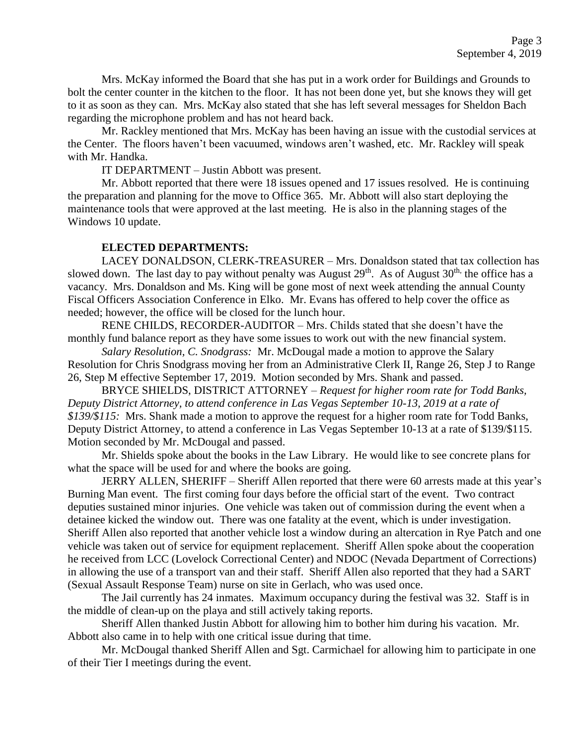Mrs. McKay informed the Board that she has put in a work order for Buildings and Grounds to bolt the center counter in the kitchen to the floor. It has not been done yet, but she knows they will get to it as soon as they can. Mrs. McKay also stated that she has left several messages for Sheldon Bach regarding the microphone problem and has not heard back.

Mr. Rackley mentioned that Mrs. McKay has been having an issue with the custodial services at the Center. The floors haven't been vacuumed, windows aren't washed, etc. Mr. Rackley will speak with Mr. Handka.

IT DEPARTMENT – Justin Abbott was present.

Mr. Abbott reported that there were 18 issues opened and 17 issues resolved. He is continuing the preparation and planning for the move to Office 365. Mr. Abbott will also start deploying the maintenance tools that were approved at the last meeting. He is also in the planning stages of the Windows 10 update.

## **ELECTED DEPARTMENTS:**

LACEY DONALDSON, CLERK-TREASURER – Mrs. Donaldson stated that tax collection has slowed down. The last day to pay without penalty was August  $29<sup>th</sup>$ . As of August  $30<sup>th</sup>$ , the office has a vacancy. Mrs. Donaldson and Ms. King will be gone most of next week attending the annual County Fiscal Officers Association Conference in Elko. Mr. Evans has offered to help cover the office as needed; however, the office will be closed for the lunch hour.

RENE CHILDS, RECORDER-AUDITOR – Mrs. Childs stated that she doesn't have the monthly fund balance report as they have some issues to work out with the new financial system.

*Salary Resolution, C. Snodgrass:* Mr. McDougal made a motion to approve the Salary Resolution for Chris Snodgrass moving her from an Administrative Clerk II, Range 26, Step J to Range 26, Step M effective September 17, 2019. Motion seconded by Mrs. Shank and passed.

BRYCE SHIELDS, DISTRICT ATTORNEY – *Request for higher room rate for Todd Banks, Deputy District Attorney, to attend conference in Las Vegas September 10-13, 2019 at a rate of \$139/\$115:* Mrs. Shank made a motion to approve the request for a higher room rate for Todd Banks, Deputy District Attorney, to attend a conference in Las Vegas September 10-13 at a rate of \$139/\$115. Motion seconded by Mr. McDougal and passed.

Mr. Shields spoke about the books in the Law Library. He would like to see concrete plans for what the space will be used for and where the books are going.

JERRY ALLEN, SHERIFF – Sheriff Allen reported that there were 60 arrests made at this year's Burning Man event. The first coming four days before the official start of the event. Two contract deputies sustained minor injuries. One vehicle was taken out of commission during the event when a detainee kicked the window out. There was one fatality at the event, which is under investigation. Sheriff Allen also reported that another vehicle lost a window during an altercation in Rye Patch and one vehicle was taken out of service for equipment replacement. Sheriff Allen spoke about the cooperation he received from LCC (Lovelock Correctional Center) and NDOC (Nevada Department of Corrections) in allowing the use of a transport van and their staff. Sheriff Allen also reported that they had a SART (Sexual Assault Response Team) nurse on site in Gerlach, who was used once.

The Jail currently has 24 inmates. Maximum occupancy during the festival was 32. Staff is in the middle of clean-up on the playa and still actively taking reports.

Sheriff Allen thanked Justin Abbott for allowing him to bother him during his vacation. Mr. Abbott also came in to help with one critical issue during that time.

Mr. McDougal thanked Sheriff Allen and Sgt. Carmichael for allowing him to participate in one of their Tier I meetings during the event.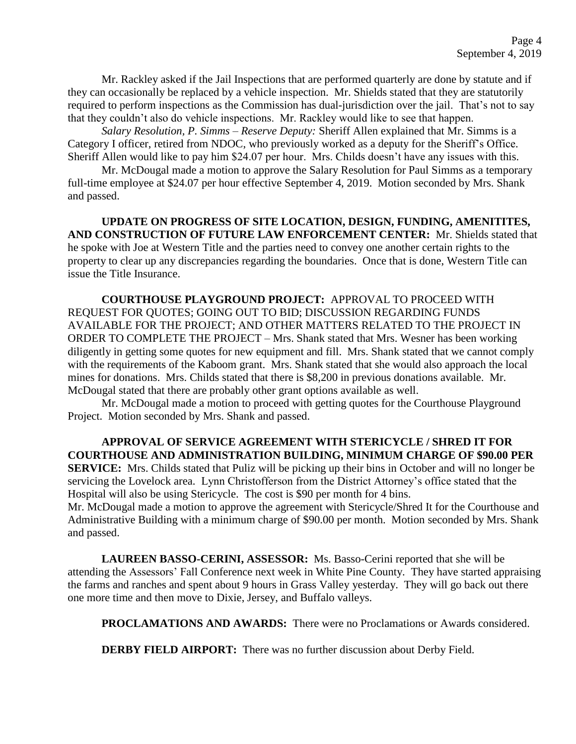Mr. Rackley asked if the Jail Inspections that are performed quarterly are done by statute and if they can occasionally be replaced by a vehicle inspection. Mr. Shields stated that they are statutorily required to perform inspections as the Commission has dual-jurisdiction over the jail. That's not to say that they couldn't also do vehicle inspections. Mr. Rackley would like to see that happen.

*Salary Resolution, P. Simms – Reserve Deputy:* Sheriff Allen explained that Mr. Simms is a Category I officer, retired from NDOC, who previously worked as a deputy for the Sheriff's Office. Sheriff Allen would like to pay him \$24.07 per hour. Mrs. Childs doesn't have any issues with this.

Mr. McDougal made a motion to approve the Salary Resolution for Paul Simms as a temporary full-time employee at \$24.07 per hour effective September 4, 2019. Motion seconded by Mrs. Shank and passed.

**UPDATE ON PROGRESS OF SITE LOCATION, DESIGN, FUNDING, AMENITITES, AND CONSTRUCTION OF FUTURE LAW ENFORCEMENT CENTER:** Mr. Shields stated that he spoke with Joe at Western Title and the parties need to convey one another certain rights to the property to clear up any discrepancies regarding the boundaries. Once that is done, Western Title can issue the Title Insurance.

**COURTHOUSE PLAYGROUND PROJECT:** APPROVAL TO PROCEED WITH REQUEST FOR QUOTES; GOING OUT TO BID; DISCUSSION REGARDING FUNDS AVAILABLE FOR THE PROJECT; AND OTHER MATTERS RELATED TO THE PROJECT IN ORDER TO COMPLETE THE PROJECT – Mrs. Shank stated that Mrs. Wesner has been working diligently in getting some quotes for new equipment and fill. Mrs. Shank stated that we cannot comply with the requirements of the Kaboom grant. Mrs. Shank stated that she would also approach the local mines for donations. Mrs. Childs stated that there is \$8,200 in previous donations available. Mr. McDougal stated that there are probably other grant options available as well.

Mr. McDougal made a motion to proceed with getting quotes for the Courthouse Playground Project. Motion seconded by Mrs. Shank and passed.

**APPROVAL OF SERVICE AGREEMENT WITH STERICYCLE / SHRED IT FOR COURTHOUSE AND ADMINISTRATION BUILDING, MINIMUM CHARGE OF \$90.00 PER SERVICE:** Mrs. Childs stated that Puliz will be picking up their bins in October and will no longer be servicing the Lovelock area. Lynn Christofferson from the District Attorney's office stated that the Hospital will also be using Stericycle. The cost is \$90 per month for 4 bins. Mr. McDougal made a motion to approve the agreement with Stericycle/Shred It for the Courthouse and

Administrative Building with a minimum charge of \$90.00 per month. Motion seconded by Mrs. Shank and passed.

**LAUREEN BASSO-CERINI, ASSESSOR:** Ms. Basso-Cerini reported that she will be attending the Assessors' Fall Conference next week in White Pine County. They have started appraising the farms and ranches and spent about 9 hours in Grass Valley yesterday. They will go back out there one more time and then move to Dixie, Jersey, and Buffalo valleys.

**PROCLAMATIONS AND AWARDS:** There were no Proclamations or Awards considered.

**DERBY FIELD AIRPORT:** There was no further discussion about Derby Field.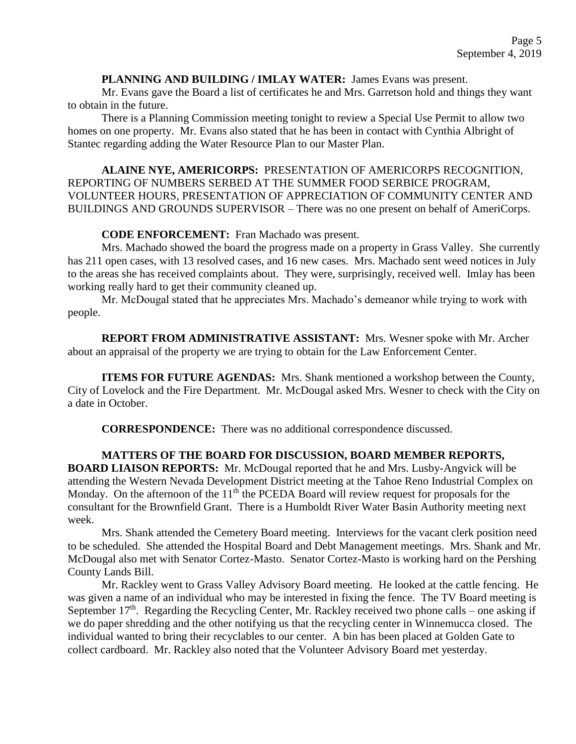### **PLANNING AND BUILDING / IMLAY WATER:** James Evans was present.

Mr. Evans gave the Board a list of certificates he and Mrs. Garretson hold and things they want to obtain in the future.

There is a Planning Commission meeting tonight to review a Special Use Permit to allow two homes on one property. Mr. Evans also stated that he has been in contact with Cynthia Albright of Stantec regarding adding the Water Resource Plan to our Master Plan.

**ALAINE NYE, AMERICORPS:** PRESENTATION OF AMERICORPS RECOGNITION, REPORTING OF NUMBERS SERBED AT THE SUMMER FOOD SERBICE PROGRAM, VOLUNTEER HOURS, PRESENTATION OF APPRECIATION OF COMMUNITY CENTER AND BUILDINGS AND GROUNDS SUPERVISOR – There was no one present on behalf of AmeriCorps.

## **CODE ENFORCEMENT:** Fran Machado was present.

Mrs. Machado showed the board the progress made on a property in Grass Valley. She currently has 211 open cases, with 13 resolved cases, and 16 new cases. Mrs. Machado sent weed notices in July to the areas she has received complaints about. They were, surprisingly, received well. Imlay has been working really hard to get their community cleaned up.

Mr. McDougal stated that he appreciates Mrs. Machado's demeanor while trying to work with people.

**REPORT FROM ADMINISTRATIVE ASSISTANT:** Mrs. Wesner spoke with Mr. Archer about an appraisal of the property we are trying to obtain for the Law Enforcement Center.

**ITEMS FOR FUTURE AGENDAS:** Mrs. Shank mentioned a workshop between the County, City of Lovelock and the Fire Department. Mr. McDougal asked Mrs. Wesner to check with the City on a date in October.

**CORRESPONDENCE:** There was no additional correspondence discussed.

**MATTERS OF THE BOARD FOR DISCUSSION, BOARD MEMBER REPORTS, BOARD LIAISON REPORTS:** Mr. McDougal reported that he and Mrs. Lusby-Angvick will be attending the Western Nevada Development District meeting at the Tahoe Reno Industrial Complex on Monday. On the afternoon of the  $11<sup>th</sup>$  the PCEDA Board will review request for proposals for the consultant for the Brownfield Grant. There is a Humboldt River Water Basin Authority meeting next week.

Mrs. Shank attended the Cemetery Board meeting. Interviews for the vacant clerk position need to be scheduled. She attended the Hospital Board and Debt Management meetings. Mrs. Shank and Mr. McDougal also met with Senator Cortez-Masto. Senator Cortez-Masto is working hard on the Pershing County Lands Bill.

Mr. Rackley went to Grass Valley Advisory Board meeting. He looked at the cattle fencing. He was given a name of an individual who may be interested in fixing the fence. The TV Board meeting is September  $17<sup>th</sup>$ . Regarding the Recycling Center, Mr. Rackley received two phone calls – one asking if we do paper shredding and the other notifying us that the recycling center in Winnemucca closed. The individual wanted to bring their recyclables to our center. A bin has been placed at Golden Gate to collect cardboard. Mr. Rackley also noted that the Volunteer Advisory Board met yesterday.